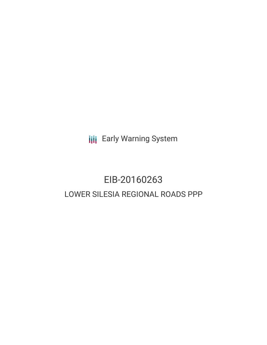**III** Early Warning System

# EIB-20160263 LOWER SILESIA REGIONAL ROADS PPP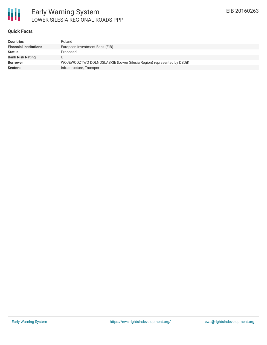



### Early Warning System LOWER SILESIA REGIONAL ROADS PPP

### **Quick Facts**

| <b>Countries</b>              | Poland                                                               |
|-------------------------------|----------------------------------------------------------------------|
| <b>Financial Institutions</b> | European Investment Bank (EIB)                                       |
| <b>Status</b>                 | Proposed                                                             |
| <b>Bank Risk Rating</b>       |                                                                      |
| <b>Borrower</b>               | WOJEWODZTWO DOLNOSLASKIE (Lower Silesia Region) represented by DSDiK |
| <b>Sectors</b>                | Infrastructure, Transport                                            |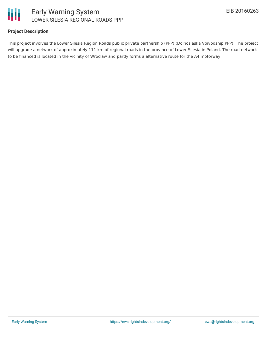

### **Project Description**

This project involves the Lower Silesia Region Roads public private partnership (PPP) (Dolnoslaska Voivodship PPP). The project will upgrade a network of approximately 111 km of regional roads in the province of Lower Silesia in Poland. The road network to be financed is located in the vicinity of Wroclaw and partly forms a alternative route for the A4 motorway.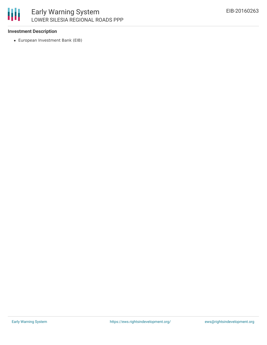

## Early Warning System LOWER SILESIA REGIONAL ROADS PPP

### **Investment Description**

European Investment Bank (EIB)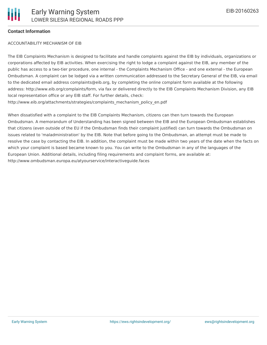### **Contact Information**

#### ACCOUNTABILITY MECHANISM OF EIB

The EIB Complaints Mechanism is designed to facilitate and handle complaints against the EIB by individuals, organizations or corporations affected by EIB activities. When exercising the right to lodge a complaint against the EIB, any member of the public has access to a two-tier procedure, one internal - the Complaints Mechanism Office - and one external - the European Ombudsman. A complaint can be lodged via a written communication addressed to the Secretary General of the EIB, via email to the dedicated email address complaints@eib.org, by completing the online complaint form available at the following address: http://www.eib.org/complaints/form, via fax or delivered directly to the EIB Complaints Mechanism Division, any EIB local representation office or any EIB staff. For further details, check: http://www.eib.org/attachments/strategies/complaints\_mechanism\_policy\_en.pdf

When dissatisfied with a complaint to the EIB Complaints Mechanism, citizens can then turn towards the European Ombudsman. A memorandum of Understanding has been signed between the EIB and the European Ombudsman establishes that citizens (even outside of the EU if the Ombudsman finds their complaint justified) can turn towards the Ombudsman on issues related to 'maladministration' by the EIB. Note that before going to the Ombudsman, an attempt must be made to resolve the case by contacting the EIB. In addition, the complaint must be made within two years of the date when the facts on which your complaint is based became known to you. You can write to the Ombudsman in any of the languages of the European Union. Additional details, including filing requirements and complaint forms, are available at: http://www.ombudsman.europa.eu/atyourservice/interactiveguide.faces